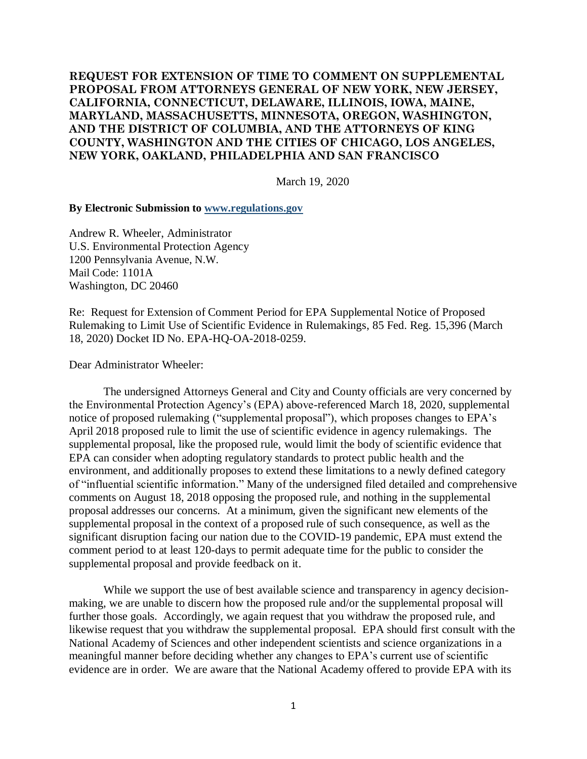### **REQUEST FOR EXTENSION OF TIME TO COMMENT ON SUPPLEMENTAL PROPOSAL FROM ATTORNEYS GENERAL OF NEW YORK, NEW JERSEY, CALIFORNIA, CONNECTICUT, DELAWARE, ILLINOIS, IOWA, MAINE, MARYLAND, MASSACHUSETTS, MINNESOTA, OREGON, WASHINGTON, AND THE DISTRICT OF COLUMBIA, AND THE ATTORNEYS OF KING COUNTY, WASHINGTON AND THE CITIES OF CHICAGO, LOS ANGELES, NEW YORK, OAKLAND, PHILADELPHIA AND SAN FRANCISCO**

March 19, 2020

#### **By Electronic Submission to [www.regulations.gov](http://www.regulations.gov/)**

Andrew R. Wheeler, Administrator U.S. Environmental Protection Agency 1200 Pennsylvania Avenue, N.W. Mail Code: 1101A Washington, DC 20460

Re: Request for Extension of Comment Period for EPA Supplemental Notice of Proposed Rulemaking to Limit Use of Scientific Evidence in Rulemakings, 85 Fed. Reg. 15,396 (March 18, 2020) Docket ID No. EPA-HQ-OA-2018-0259.

Dear Administrator Wheeler:

The undersigned Attorneys General and City and County officials are very concerned by the Environmental Protection Agency's (EPA) above-referenced March 18, 2020, supplemental notice of proposed rulemaking ("supplemental proposal"), which proposes changes to EPA's April 2018 proposed rule to limit the use of scientific evidence in agency rulemakings. The supplemental proposal, like the proposed rule, would limit the body of scientific evidence that EPA can consider when adopting regulatory standards to protect public health and the environment, and additionally proposes to extend these limitations to a newly defined category of "influential scientific information." Many of the undersigned filed detailed and comprehensive comments on August 18, 2018 opposing the proposed rule, and nothing in the supplemental proposal addresses our concerns. At a minimum, given the significant new elements of the supplemental proposal in the context of a proposed rule of such consequence, as well as the significant disruption facing our nation due to the COVID-19 pandemic, EPA must extend the comment period to at least 120-days to permit adequate time for the public to consider the supplemental proposal and provide feedback on it.

While we support the use of best available science and transparency in agency decisionmaking, we are unable to discern how the proposed rule and/or the supplemental proposal will further those goals. Accordingly, we again request that you withdraw the proposed rule, and likewise request that you withdraw the supplemental proposal. EPA should first consult with the National Academy of Sciences and other independent scientists and science organizations in a meaningful manner before deciding whether any changes to EPA's current use of scientific evidence are in order. We are aware that the National Academy offered to provide EPA with its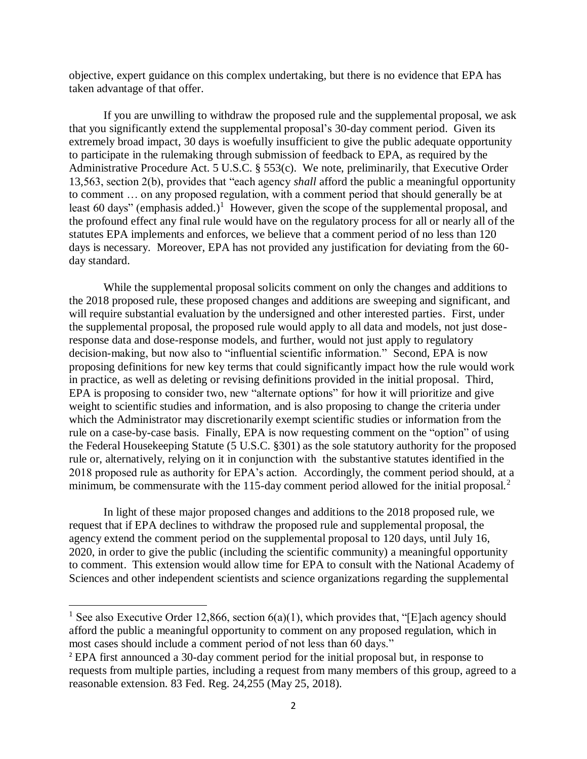objective, expert guidance on this complex undertaking, but there is no evidence that EPA has taken advantage of that offer.

If you are unwilling to withdraw the proposed rule and the supplemental proposal, we ask that you significantly extend the supplemental proposal's 30-day comment period. Given its extremely broad impact, 30 days is woefully insufficient to give the public adequate opportunity to participate in the rulemaking through submission of feedback to EPA, as required by the Administrative Procedure Act. 5 U.S.C. § 553(c). We note, preliminarily, that Executive Order 13,563, section 2(b), provides that "each agency *shall* afford the public a meaningful opportunity to comment … on any proposed regulation, with a comment period that should generally be at least 60 days" (emphasis added.)<sup>1</sup> However, given the scope of the supplemental proposal, and the profound effect any final rule would have on the regulatory process for all or nearly all of the statutes EPA implements and enforces, we believe that a comment period of no less than 120 days is necessary. Moreover, EPA has not provided any justification for deviating from the 60 day standard.

While the supplemental proposal solicits comment on only the changes and additions to the 2018 proposed rule, these proposed changes and additions are sweeping and significant, and will require substantial evaluation by the undersigned and other interested parties. First, under the supplemental proposal, the proposed rule would apply to all data and models, not just doseresponse data and dose-response models, and further, would not just apply to regulatory decision-making, but now also to "influential scientific information." Second, EPA is now proposing definitions for new key terms that could significantly impact how the rule would work in practice, as well as deleting or revising definitions provided in the initial proposal. Third, EPA is proposing to consider two, new "alternate options" for how it will prioritize and give weight to scientific studies and information, and is also proposing to change the criteria under which the Administrator may discretionarily exempt scientific studies or information from the rule on a case-by-case basis. Finally, EPA is now requesting comment on the "option" of using the Federal Housekeeping Statute (5 U.S.C. §301) as the sole statutory authority for the proposed rule or, alternatively, relying on it in conjunction with the substantive statutes identified in the 2018 proposed rule as authority for EPA's action. Accordingly, the comment period should, at a minimum, be commensurate with the 115-day comment period allowed for the initial proposal.<sup>2</sup>

In light of these major proposed changes and additions to the 2018 proposed rule, we request that if EPA declines to withdraw the proposed rule and supplemental proposal, the agency extend the comment period on the supplemental proposal to 120 days, until July 16, 2020, in order to give the public (including the scientific community) a meaningful opportunity to comment. This extension would allow time for EPA to consult with the National Academy of Sciences and other independent scientists and science organizations regarding the supplemental

 $\overline{\phantom{a}}$ 

<sup>&</sup>lt;sup>1</sup> See also Executive Order 12,866, section  $6(a)(1)$ , which provides that, "[E]ach agency should afford the public a meaningful opportunity to comment on any proposed regulation, which in most cases should include a comment period of not less than 60 days."

<sup>2</sup> EPA first announced a 30-day comment period for the initial proposal but, in response to requests from multiple parties, including a request from many members of this group, agreed to a reasonable extension. 83 Fed. Reg. 24,255 (May 25, 2018).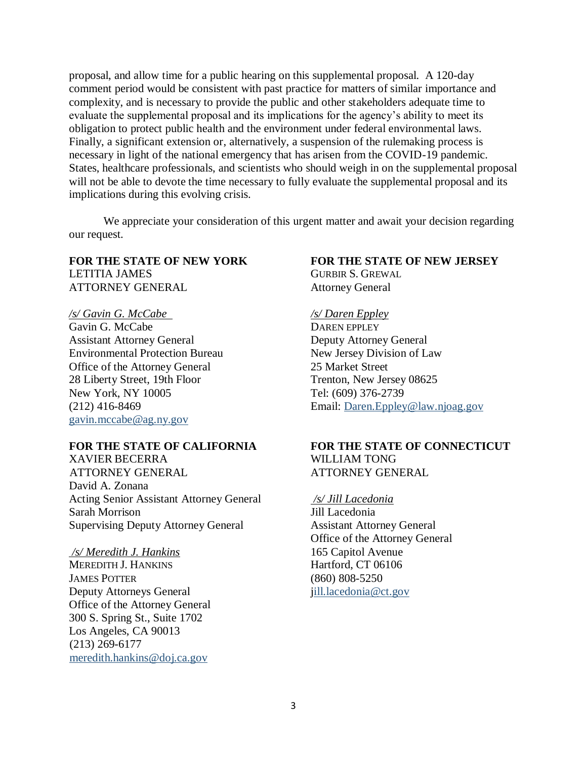proposal, and allow time for a public hearing on this supplemental proposal. A 120-day comment period would be consistent with past practice for matters of similar importance and complexity, and is necessary to provide the public and other stakeholders adequate time to evaluate the supplemental proposal and its implications for the agency's ability to meet its obligation to protect public health and the environment under federal environmental laws. Finally, a significant extension or, alternatively, a suspension of the rulemaking process is necessary in light of the national emergency that has arisen from the COVID-19 pandemic. States, healthcare professionals, and scientists who should weigh in on the supplemental proposal will not be able to devote the time necessary to fully evaluate the supplemental proposal and its implications during this evolving crisis.

We appreciate your consideration of this urgent matter and await your decision regarding our request.

# LETITIA JAMES GURBIR S. GREWAL ATTORNEY GENERAL Attorney General

*/s/ Gavin G. McCabe /s/ Daren Eppley*  Gavin G. McCabe DAREN EPPLEY Assistant Attorney General Deputy Attorney General Environmental Protection Bureau New Jersey Division of Law Office of the Attorney General 25 Market Street 28 Liberty Street, 19th Floor Trenton, New Jersey 08625 New York, NY 10005 Tel: (609) 376-2739 [gavin.mccabe@ag.ny.gov](mailto:gavin.mccabe@ag.ny.gov)

XAVIER BECERRA WILLIAM TONG ATTORNEY GENERAL ATTORNEY GENERAL David A. Zonana Acting Senior Assistant Attorney General */s/ Jill Lacedonia* Sarah Morrison Jill Lacedonia Supervising Deputy Attorney General Assistant Attorney General

*/s/ Meredith J. Hankins* 165 Capitol Avenue MEREDITH J. HANKINS Hartford, CT 06106 JAMES POTTER (860) 808-5250 Deputy Attorneys General iill.lacedonia@ct.gov Office of the Attorney General 300 S. Spring St., Suite 1702 Los Angeles, CA 90013 (213) 269-6177 [meredith.hankins@doj.ca.gov](mailto:meredith.hankins@doj.ca.gov)

## **FOR THE STATE OF NEW YORK FOR THE STATE OF NEW JERSEY**

(212) 416-8469 Email: [Daren.Eppley@law.njoag.gov](mailto:Daren.Eppley@law.njoag.gov)

# **FOR THE STATE OF CALIFORNIA FOR THE STATE OF CONNECTICUT**

Office of the Attorney General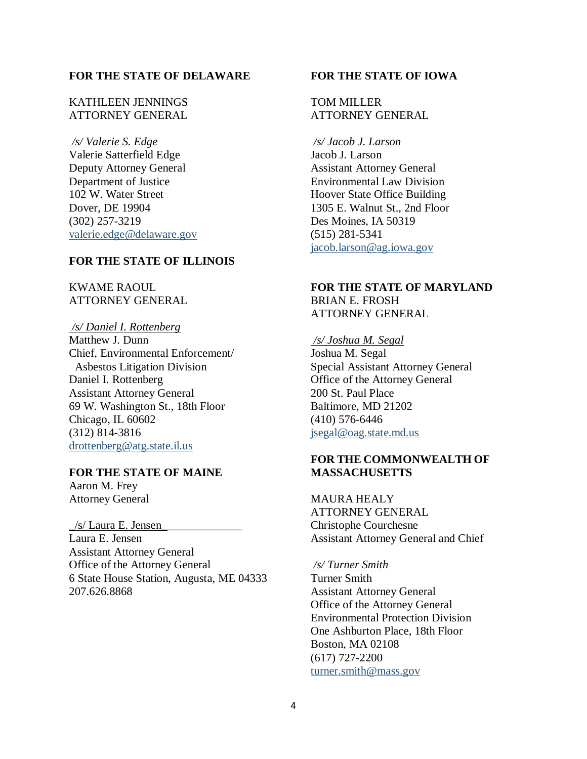#### **FOR THE STATE OF DELAWARE**

#### KATHLEEN JENNINGS ATTORNEY GENERAL

*/s/ Valerie S. Edge* Valerie Satterfield Edge Deputy Attorney General Department of Justice 102 W. Water Street Dover, DE 19904 (302) 257-3219 [valerie.edge@delaware.gov](mailto:valerie.edge@delaware.gov)

#### **FOR THE STATE OF ILLINOIS**

#### KWAME RAOUL ATTORNEY GENERAL

#### */s/ Daniel I. Rottenberg*

Matthew J. Dunn Chief, Environmental Enforcement/ Asbestos Litigation Division Daniel I. Rottenberg Assistant Attorney General 69 W. Washington St., 18th Floor Chicago, IL 60602 (312) 814-3816 [drottenberg@atg.state.il.us](mailto:drottenberg@atg.state.il.us)

#### **FOR THE STATE OF MAINE**

Aaron M. Frey Attorney General

 $/s$  Laura E. Jensen Laura E. Jensen Assistant Attorney General Office of the Attorney General 6 State House Station, Augusta, ME 04333 207.626.8868

#### **FOR THE STATE OF IOWA**

#### TOM MILLER ATTORNEY GENERAL

*/s/ Jacob J. Larson*  Jacob J. Larson Assistant Attorney General Environmental Law Division Hoover State Office Building 1305 E. Walnut St., 2nd Floor Des Moines, IA 50319 (515) 281-5341 [jacob.larson@ag.iowa.gov](mailto:jacob.larson@ag.iowa.gov)

#### **FOR THE STATE OF MARYLAND** BRIAN E. FROSH ATTORNEY GENERAL

#### */s/ Joshua M. Segal*

Joshua M. Segal Special Assistant Attorney General Office of the Attorney General 200 St. Paul Place Baltimore, MD 21202 (410) 576-6446 [jsegal@oag.state.md.us](mailto:jsegal@oag.state.md.us)

### **FOR THE COMMONWEALTH OF MASSACHUSETTS**

MAURA HEALY ATTORNEY GENERAL Christophe Courchesne Assistant Attorney General and Chief

*/s/ Turner Smith* Turner Smith

Assistant Attorney General Office of the Attorney General Environmental Protection Division One Ashburton Place, 18th Floor Boston, MA 02108 (617) 727-2200 [turner.smith@mass.gov](mailto:turner.smith@mass.gov)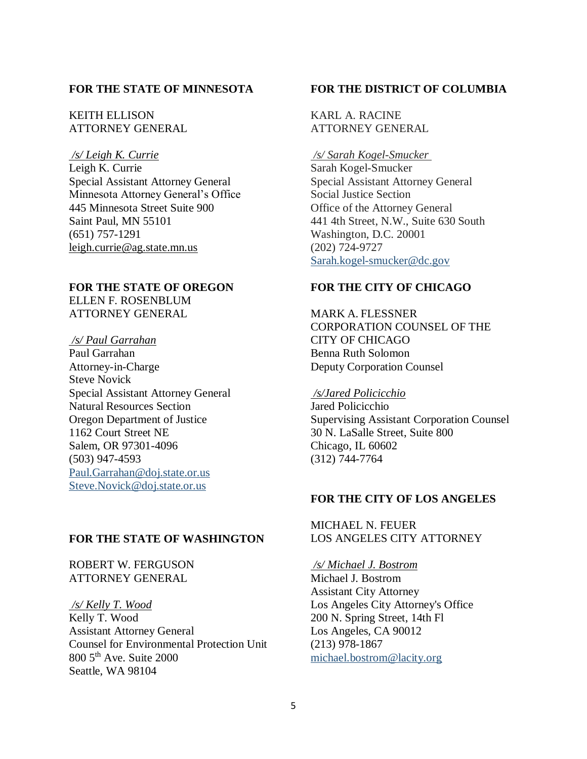#### **FOR THE STATE OF MINNESOTA**

KEITH ELLISON ATTORNEY GENERAL

*/s/ Leigh K. Currie* Leigh K. Currie Special Assistant Attorney General Minnesota Attorney General's Office 445 Minnesota Street Suite 900 Saint Paul, MN 55101 (651) 757-1291 [leigh.currie@ag.state.mn.us](mailto:leigh.currie@ag.state.mn.us)

## **FOR THE STATE OF OREGON**  ELLEN F. ROSENBLUM

ATTORNEY GENERAL

*/s/ Paul Garrahan* Paul Garrahan

Attorney-in-Charge Steve Novick Special Assistant Attorney General Natural Resources Section Oregon Department of Justice 1162 Court Street NE Salem, OR 97301-4096 (503) 947-4593 [Paul.Garrahan@doj.state.or.us](mailto:Paul.Garrahan@doj.state.or.us) [Steve.Novick@doj.state.or.us](mailto:Steve.Novick@doj.state.or.us)

#### **FOR THE STATE OF WASHINGTON**

ROBERT W. FERGUSON ATTORNEY GENERAL

*/s/ Kelly T. Wood* Kelly T. Wood Assistant Attorney General Counsel for Environmental Protection Unit 800 5th Ave. Suite 2000 Seattle, WA 98104

#### **FOR THE DISTRICT OF COLUMBIA**

KARL A. RACINE ATTORNEY GENERAL

*/s/ Sarah Kogel-Smucker* Sarah Kogel-Smucker Special Assistant Attorney General Social Justice Section Office of the Attorney General 441 4th Street, N.W., Suite 630 South Washington, D.C. 20001 (202) 724-9727 [Sarah.kogel-smucker@dc.gov](mailto:Sarah.kogel-smucker@dc.gov)

#### **FOR THE CITY OF CHICAGO**

MARK A. FLESSNER CORPORATION COUNSEL OF THE CITY OF CHICAGO Benna Ruth Solomon Deputy Corporation Counsel

#### */s/Jared Policicchio*

Jared Policicchio Supervising Assistant Corporation Counsel 30 N. LaSalle Street, Suite 800 Chicago, IL 60602 (312) 744-7764

#### **FOR THE CITY OF LOS ANGELES**

MICHAEL N. FEUER LOS ANGELES CITY ATTORNEY

*/s/ Michael J. Bostrom* Michael J. Bostrom Assistant City Attorney Los Angeles City Attorney's Office 200 N. Spring Street, 14th Fl Los Angeles, CA 90012 (213) 978-1867 [michael.bostrom@lacity.org](mailto:michael.bostrom@lacity.org)